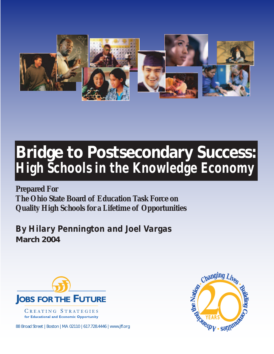

# **Bridge to Postsecondary Success:** *High Schools in the Knowledge Economy*

**Prepared For The Ohio State Board of Education Task Force on Quality High Schools for a Lifetime of Opportunities**

*By Hilary Pennington and Joel Vargas* **March 2004**



CREATING STRATEGIES for Educational and Economic Opportunity

88 Broad Street | Boston | MA 02110 | 617.728.4446 | www.jff.org

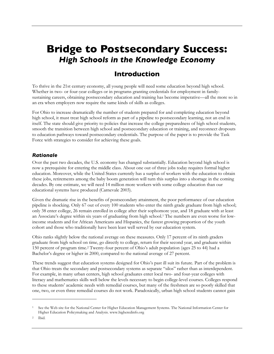## **Bridge to Postsecondary Success:** *High Schools in the Knowledge Economy*

## **Introduction**

To thrive in the 21st century economy, all young people will need some education beyond high school. Whether in two- or four-year colleges or in programs granting credentials for employment in familysustaining careers, obtaining postsecondary education and training has become imperative—all the more so in an era when employers now require the same kinds of skills as colleges.

For Ohio to increase dramatically the number of students prepared for and completing education beyond high school, it must treat high school reform as part of a pipeline to postsecondary learning, not an end in itself. The state should give priority to policies that increase the college preparedness of high school students, smooth the transition between high school and postsecondary education or training, and reconnect dropouts to education pathways toward postsecondary credentials. The purpose of the paper is to provide the Task Force with strategies to consider for achieving these goals.

#### *Rationale*

Over the past two decades, the U.S. economy has changed substantially. Education beyond high school is now a prerequisite for entering the middle class. About one out of three jobs today requires formal higher education. Moreover, while the United States currently has a surplus of workers with the education to obtain these jobs, retirements among the baby boom generation will turn this surplus into a shortage in the coming decades. By one estimate, we will need 14 million more workers with some college education than our educational systems have produced (Carnevale 2003).

Given the dramatic rise in the benefits of postsecondary attainment, the poor performance of our education pipeline is shocking. Only 67 out of every 100 students who enter the ninth grade graduate from high school; only 38 enter college, 26 remain enrolled in college after their sophomore year, and 18 graduate with at least an Associate's degree within six years of graduating from high school.1 The numbers are even worse for lowincome students and for African Americans and Hispanics, the fastest growing proportion of the youth cohort and those who traditionally have been least well served by our education system.

Ohio ranks slightly below the national average on these measures. Only 17 percent of its ninth graders graduate from high school on time, go directly to college, return for their second year, and graduate within 150 percent of program time.2 Twenty-four percent of Ohio's adult population (ages 25 to 44) had a Bachelor's degree or higher in 2000, compared to the national average of 27 percent.

These trends suggest that education systems designed for Ohio's past ill suit its future. Part of the problem is that Ohio treats the secondary and postsecondary systems as separate "silos" rather than as interdependent. For example, in many urban centers, high school graduates enter local two- and four-year colleges with literacy and mathematics skills well below the levels necessary to begin college-level courses. Colleges respond to these students' academic needs with remedial courses, but many of the freshmen are so poorly skilled that one, two, or even three remedial courses do not work. Paradoxically, urban high school students cannot gain

<sup>1</sup> See the Web site for the National Center for Higher Education Management Systems. The National Information Center for Higher Education Policymaking and Analysis. www.higheredinfo.org

<sup>2</sup> Ibid.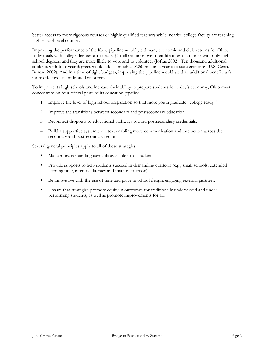better access to more rigorous courses or highly qualified teachers while, nearby, college faculty are teaching high school-level courses.

Improving the performance of the K-16 pipeline would yield many economic and civic returns for Ohio. Individuals with college degrees earn nearly \$1 million more over their lifetimes than those with only high school degrees, and they are more likely to vote and to volunteer (Joftus 2002). Ten thousand additional students with four-year degrees would add as much as \$250 million a year to a state economy (U.S. Census Bureau 2002). And in a time of tight budgets, improving the pipeline would yield an additional benefit: a far more effective use of limited resources.

To improve its high schools and increase their ability to prepare students for today's economy, Ohio must concentrate on four critical parts of its education pipeline:

- 1. Improve the level of high school preparation so that more youth graduate "college ready."
- 2. Improve the transitions between secondary and postsecondary education.
- 3. Reconnect dropouts to educational pathways toward postsecondary credentials.
- 4. Build a supportive systemic context enabling more communication and interaction across the secondary and postsecondary sectors.

Several general principles apply to all of these strategies:

- Make more demanding curricula available to all students.
- **Provide supports to help students succeed in demanding curricula (e.g., small schools, extended** learning time, intensive literacy and math instruction).
- Be innovative with the use of time and place in school design, engaging external partners.
- **Ensure that strategies promote equity in outcomes for traditionally underserved and under**performing students, as well as promote improvements for all.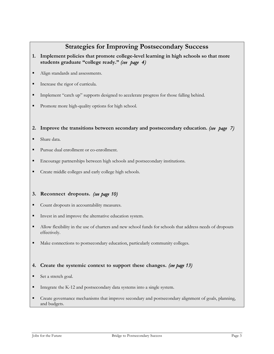## **Strategies for Improving Postsecondary Success**

- **1. Implement policies that promote college-level learning in high schools so that more students graduate "college ready."** *(see page 4)*
- Align standards and assessments.
- Increase the rigor of curricula.
- Implement "catch up" supports designed to accelerate progress for those falling behind.
- Promote more high-quality options for high school.

#### **2. Improve the transitions between secondary and postsecondary education.** *(see page 7)*

- Share data.
- Pursue dual enrollment or co-enrollment.
- Encourage partnerships between high schools and postsecondary institutions.
- Create middle colleges and early college high schools.

#### **3. Reconnect dropouts.** *(see page 10)*

- Count dropouts in accountability measures.
- Invest in and improve the alternative education system.
- Allow flexibility in the use of charters and new school funds for schools that address needs of dropouts effectively.
- $\blacksquare$  Make connections to postsecondary education, particularly community colleges.

#### **4. Create the systemic context to support these changes.** *(see page 13)*

- Set a stretch goal.
- Integrate the K-12 and postsecondary data systems into a single system.
- Create governance mechanisms that improve secondary and postsecondary alignment of goals, planning, and budgets.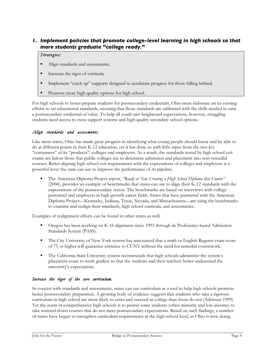#### *1. Implement policies that promote college-level learning in high schools so that more students graduate "college ready."*

#### *Strategies:*

- Align standards and assessments.
- Increase the rigor of curricula.
- **Implement "catch up" supports designed to accelerate progress for those falling behind.**
- Promote more high-quality options for high school.

For high schools to better prepare students for postsecondary credentials, Ohio must elaborate on its existing efforts to set educational standards, ensuring that those standards are calibrated with the skills needed to earn a postsecondary credential of value. To help all youth met heightened expectations, however, struggling students need access to extra support systems and high-quality secondary school options.

#### *Align standards and assessments.*

Like most states, Ohio has made great progress in identifying what young people should know and be able to do at different points in their K-12 education, yet it has done so with little input from the two key "consumers" of its "products": colleges and employers. As a result, the standards tested by high school exit exams are below those that public colleges use to determine admission and placement into non-remedial courses. Better aligning high school exit requirements with the expectations of colleges and employers is a powerful lever the state can use to improve the performance of its pipeline.

 The American Diploma Project report, *"Ready or Not: Creating a High School Diploma that Counts"* (2004), provides an example of benchmarks that states can use to align their K-12 standards with the expectations of the postsecondary sector. The benchmarks are based on interviews with college personnel and employers in high-growth career fields. States that have partnered with the American Diploma Project—Kentucky, Indiana, Texas, Nevada, and Massachusetts—are using the benchmarks to examine and realign their standards, high school curricula, and assessments.

Examples of realignment efforts can be found in other states as well.

- Oregon has been working on K-16 alignment since 1993 through its Proficiency-based Admission Standards System (PASS).
- The City University of New York system has announced that a math or English Regents exam score of 75 or higher will guarantee entrance to CUNY without the need for remedial coursework.
- The California State University system recommends that high schools administer the system's placement exam to tenth graders so that the students and their teachers better understand the university's expectations.

#### *Increase the rigor of the core curriculum.*

In concert with standards and assessments, states can use curriculum as a tool to help high schools promote better postsecondary preparation. A growing body of evidence suggests that students who take a rigorous curriculum in high school are more likely to enter and succeed in college than those do not (Adelman 1999). Yet the norm in comprehensive high schools is to permit some students (often minority and low-income) to take watered-down courses that do not meet postsecondary expectations. Based on such findings, a number of states have begun to strengthen curriculum requirements at the high school level, as Ohio is now doing.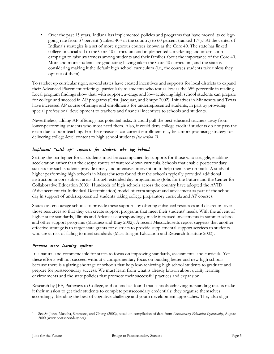Over the past 15 years, Indiana has implemented policies and programs that have moved its collegegoing rate from 37 percent (ranked  $40<sup>th</sup>$  in the country) to 60 percent (ranked  $17<sup>th</sup>$ ).<sup>3</sup> At the center of Indiana's strategies is a set of more rigorous courses known as the Core 40. The state has linked college financial aid to the Core 40 curriculum and implemented a marketing and information campaign to raise awareness among students and their families about the importance of the Core 40. More and more students are graduating having taken the Core 40 curriculum, and the state is considering making it the default high school curriculum (i.e., the courses students take unless they opt out of them).

To ratchet up curricular rigor, several states have created incentives and supports for local districts to expand their Advanced Placement offerings, particularly to students who test as low as the 65th percentile in reading. Local program findings show that, with support, average and low-achieving high school students can prepare for college and succeed in AP programs (Crist, Jacquart, and Shupe 2002). Initiatives in Minnesota and Texas have increased AP course offerings and enrollments for underrepresented students, in part by providing special professional development to teachers and financial incentives to schools and students.

Nevertheless, adding AP offerings has potential risks. It could pull the best educated teachers away from lower-performing students who most need them. Also, it could deny college credit if students do not pass the exam due to poor teaching. For these reasons, concurrent enrollment may be a more promising strategy for delivering college-level content to high school students *(see section 2).*

#### *Implement "catch up" supports for students who lag behind.*

Setting the bar higher for all students must be accompanied by supports for those who struggle, enabling acceleration rather than the escape routes of watered-down curricula. Schools that enable postsecondary success for such students provide timely and intensive intervention to help them stay on track. A study of higher performing high schools in Massachusetts found that the schools typically provided additional instruction in core subject areas through extended day programming (Jobs for the Future and the Center for Collaborative Education 2003). Hundreds of high schools across the country have adopted the AVID (Advancement via Individual Determination) model of extra support and advisement as part of the school day in support of underrepresented students taking college preparatory curricula and AP courses.

States can encourage schools to provide these supports by offering enhanced resources and discretion over those resources so that they can create support programs that meet their students' needs. With the advent of higher state standards, Illinois and Arkansas correspondingly made increased investments in summer school and other support programs (Martinez and Bray 2002). A recent Massachusetts report suggests that another effective strategy is to target state grants for districts to provide supplemental support services to students who are at risk of failing to meet standards (Mass Insight Education and Research Institute 2003).

#### *Promote more learning options.*

It is natural and commendable for states to focus on improving standards, assessments, and curricula. Yet these efforts will not succeed without a complementary focus on building better and new high schools because there is a glaring shortage of schools that help low-achieving high school students to graduate and prepare for postsecondary success. We must learn from what is already known about quality learning environments and the state policies that promote their successful practices and expansion.

Research by JFF, Pathways to College, and others has found that schools achieving outstanding results make it their mission to get their students to complete postsecondary credentials; they organize themselves accordingly, blending the best of cognitive challenge and youth development approaches. They also align

 $\overline{a}$ 

<sup>3</sup> See St. John, Musoba, Simmons, and Chung (2002), based on compilation of data from *Postsecondary Education Opportunity*, August 2000 (www.postsecondary.org).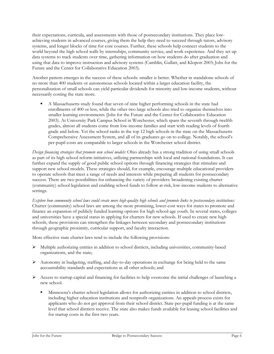their expectations, curricula, and assessments with those of postsecondary institutions. They place lowachieving students in advanced courses, giving them the help they need to succeed through tutors, advisory systems, and longer blocks of time for core courses. Further, these schools help connect students to the world beyond the high school walls by internships, community service, and work experience. And they set up data systems to track students over time, gathering information on how students do after graduation and using that data to improve instruction and advisory systems (Camblin, Gullatt, and Klopott 2003; Jobs for the Future and the Center for Collaborative Education 2003).

Another pattern emerges in the success of these schools: smaller is better. Whether in standalone schools of no more than 400 students or autonomous schools located within a larger education facility, the personalization of small schools can yield particular dividends for minority and low-income students, without necessarily costing the state more.

 A Massachusetts study found that seven of nine higher performing schools in the state had enrollments of 400 or less, while the other two large schools also tried to organize themselves into smaller learning environments (Jobs for the Future and the Center for Collaborative Education 2003). At University Park Campus School in Worchester, which spans the seventh through twelfth grades, almost all students come from low-income families and start with reading levels of fourth grade and below. Yet the school ranks in the top 12 high schools in the state on the Massachusetts Comprehensive Assessment System, and all of its graduates go on to college. Notably, the school's per-pupil costs are comparable to larger schools in the Worchester school district.

*Design financing strategies that promote new school models:* Ohio already has a strong tradition of using small schools as part of its high school reform initiatives, utilizing partnerships with local and national foundations. It can further expand the supply of good public school options through financing strategies that stimulate and support new school models. These strategies should, for example, encourage multiple educational providers to operate schools that meet a range of needs and interests while preparing all students for postsecondary success. There are two possibilities for enhancing the variety of providers: broadening existing charter (community) school legislation and enabling school funds to follow at-risk, low-income students to alternative settings.

*Explore how community school laws could create more high-quality high schools and promote links to postsecondary institutions:* Charter (community) school laws are among the more promising, lower-cost ways for states to promote and finance an expansion of publicly funded learning options for high school-age youth. In several states, colleges and universities have a special status in applying for charters for new schools. If used to create new high schools, these provisions can strengthen the linkages between secondary and postsecondary institutions through geographic proximity, curricular support, and faculty interaction.

More effective state charter laws tend to include the following provisions:

- $\triangleright$  Multiple authorizing entities in addition to school districts, including universities, community-based organizations, and the state;
- $\triangleright$  Autonomy in budgeting, staffing, and day-to-day operations in exchange for being held to the same accountability standards and expectations as all other schools; and
- $\triangleright$  Access to startup capital and financing for facilities to help overcome the initial challenges of launching a new school.
	- Minnesota's charter school legislation allows for authorizing entities in addition to school districts, including higher education institutions and nonprofit organizations. An appeals process exists for applicants who do not get approval from their school district. State per-pupil funding is at the same level that school districts receive. The state also makes funds available for leasing school facilities and for startup costs in the first two years.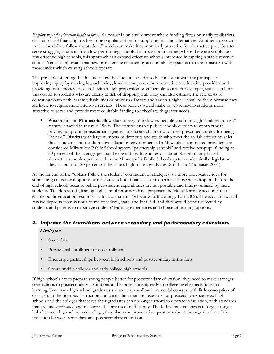*Explore ways for education funds to follow the student:* In an environment where funding flows primarily to districts, charter school financing has been one popular option for supplying learning alternatives. Another approach is to "let the dollars follow the student," which can make it economically attractive for alternative providers to serve struggling students from low-performing schools. In urban communities, where there are simply too few effective high schools, this approach can expand effective schools interested in tapping a stable revenue source. Yet it is important that new providers be checked by accountability systems that are consistent with those under which existing schools operate.

The principle of letting the dollars follow the student should also be consistent with the principle of improving equity by making low-achieving, low-income youth more attractive to education providers and providing more money to schools with a high proportion of vulnerable youth. For example, states can limit this option to students who are clearly at risk of dropping out. They can also estimate the real costs of educating youth with learning disabilities or other risk factors and assign a higher "cost" to them because they are likely to require more intensive services. These policies would make lower-achieving students more attractive to serve and provide more equitable funding to schools with greater needs.

 **Wisconsin** and **Minnesota** allow state money to follow vulnerable youth through "children-at-risk" statutes enacted in the mid-1980s. The statutes enable public schools districts to contract with private, nonprofit, nonsectarian agencies to educate children who meet prescribed criteria for being "at risk." Districts with large numbers of dropouts and youth who meet the at-risk criteria must let those students choose alternative education environments. In Milwaukee, contracted providers are considered Milwaukee Public School system "partnership schools" and receive per-pupil funding at 80 percent of the average per-pupil expenditure. In Minnesota, about 30 community-based alternative schools operate within the Minneapolis Public Schools system under similar legislation; they account for 20 percent of the state's high school graduates (Smith and Thomases 2001).

At the far end of the "dollars follow the student" continuum of strategies is a more provocative idea for stimulating educational options. Most states' school finance systems penalize those who drop out before the end of high school, because public per-student expenditures are not portable and thus go unused by these students. To address this, leading high school reformers have proposed individual learning accounts that enable public education resources to follow students (Schwartz forthcoming; Toft 2002). The accounts would receive deposits from various forms of federal, state, and local aid, and they would be self-directed by students and parents to maximize students' learning experiences and choice of learning options.

#### *2. Improve the transitions between secondary and postsecondary education.*

#### *Strategies:*

- Share data.
- Pursue dual enrollment or co-enrollment.
- Encourage partnerships between high schools and postsecondary institutions.
- Create middle colleges and early college high schools.

If high schools are to prepare young people better for postsecondary education, they need to make stronger connections to postsecondary institutions and expose students early to college-level expectations and learning. Too many high school graduates subsequently wallow in remedial courses, with little conception of or access to the rigorous instruction and curriculum that are necessary for postsecondary success. High schools and the colleges that serve their graduates can no longer afford to operate in isolation, with standards that are uncoordinated and resources that are used inefficiently. The following strategies can forge stronger links between high school and college; they also raise provocative questions about the organization of the transition between secondary and postsecondary education.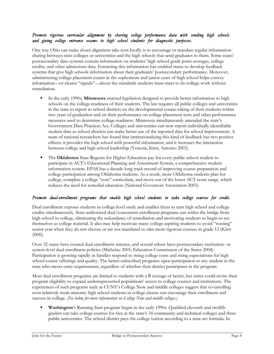#### *Promote rigorous curricular alignment by sharing college performance data with sending high schools and giving college entrance exams to high school students for diagnostic purposes.*

One way Ohio can make closer alignment take root locally is to encourage or mandate regular informationsharing between state colleges or universities and the high schools that send graduates to them. Some states' postsecondary data systems contain information on students' high school grade point averages, college credits, and other admissions data. Extracting this information has enabled states to develop feedback systems that give high schools information about their graduates' postsecondary performance. Moreover, administering college placement exams in the sophomore and junior years of high school helps convey information—or clearer "signals"—about the standards students must meet to do college work without remediation.

- In the early 1990s, **Minnesota** enacted legislation designed to provide better information to high schools on the college-readiness of their students. The law requires all public colleges and universities in the state to report to school districts on the developmental course-taking of their students within two years of graduation and on their performance on college placement tests and other performance measures used to determine college-readiness. Minnesota simultaneously amended the state's Government Data Practices Act. Colleges and universities can now report individually identifiable student data so school districts can make better use of the reported data for school improvement. A team of national researchers has found that institutionalizing this kind of feedback has two positive effects: it provides the high school with powerful information, and it increases the interaction between college and high school leadership (Venezia, Kirst, Antonio 2003).
- The **Oklahoma** State Regents for Higher Education pay for every public school student to participate in ACT's Educational Planning and Assessment System, a comprehensive student information system. EPAS has a decade-long track record of improving course preparation and college participation among Oklahoma students. As a result, more Oklahoma students plan for college, complete a college "core" curriculum, and move out of the lower ACT score range, which reduces the need for remedial education (National Governors Association 2003).

#### *Promote dual-enrollment programs that enable high school students to take college courses for credit.*

Dual enrollment exposes students to college-level study and enables them to earn high school and college credits simultaneously. State-authorized dual/concurrent enrollment programs can widen the bridge from high school to college, eliminating the redundancy of remediation and motivating students to begin to see themselves as college material. It also may help motivate many college-aspiring students to avoid "wasting" senior year when they do not choose or are not mandated to take more rigorous courses in grade 12 (Kirst 2000).

Over 32 states have created dual enrollment statutes, and several others have postsecondary institution- or system-level dual enrollment policies (Michelau 2001; Education Commission of the States 2004). Participation is growing rapidly as families respond to rising college costs and rising expectations for high school course offerings and quality. The better-subscribed programs open participation to any student in the state who meets entry requirements, regardless of whether their district participates in the program.

Most dual enrollment programs are limited to students with a B average or better, but states could revise their program eligibility to expand underrepresented populations' access to college courses and institutions. The experiences of such programs such as CUNY's College Now and middle colleges suggest that co-enrolling even relatively weak minority high school students in college classes can encourage their enrollment and success in college. *(See below for more information on College Now and middle colleges.)*

 **Washington**'s Running Start program began in the early 1990s. Qualified eleventh and twelfth graders can take college courses for free at the state's 34 community and technical colleges and three public universities. The school district pays the college tuition according to a state-set formula. In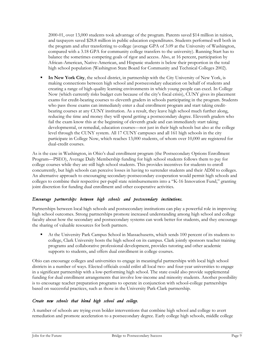2000-01, over 13,000 students took advantage of the program. Parents saved \$14 million in tuition, and taxpayers saved \$28.8 million in public education expenditures. Students performed well both in the program and after transferring to college (average GPA of 3.09 at the University of Washington, compared with a 3.18 GPA for community college transfers to the university). Running Start has to balance the sometimes competing goals of rigor and access. Also, at 16 percent, participation by African-American, Native-American, and Hispanic students is below their proportion in the total high school population (Washington State Board for Community and Technical Colleges 2002).

 **In New York City**, the school district, in partnership with the City University of New York, is making connections between high school and postsecondary education on behalf of students and creating a range of high-quality learning environments in which young people can excel. In College Now (which currently risks budget cuts because of the city's fiscal crisis), CUNY gives its placement exams for credit-bearing courses to eleventh graders in schools participating in the program. Students who pass those exams can immediately enter a dual enrollment program and start taking creditbearing courses at any CUNY institution. As a result, they leave high school much further along, reducing the time and money they will spend getting a postsecondary degree. Eleventh graders who fail the exam know this at the beginning of eleventh grade and can immediately start taking developmental, or remedial, education courses—not just in their high schools but also at the college level through the CUNY system. All 17 CUNY campuses and all 161 high schools in the city participate in College Now, which reaches 13,000 students, of whom over 10,000 are registered for dual-credit courses.

As is the case in Washington, in Ohio's dual enrollment program (the Postsecondary Options Enrollment Program—PSEO), Average Daily Membership funding for high school students follows them to pay for college courses while they are still high school students. This provides incentives for students to enroll concurrently, but high schools can perceive losses in having to surrender students and their ADM to colleges. An alternative approach to encouraging secondary-postsecondary cooperation would permit high schools and colleges to combine their respective per-pupil state reimbursements into a "K-16 Innovation Fund," granting joint discretion for funding dual enrollment and other cooperative activities.

#### *Encourage partnerships between high schools and postsecondary institutions.*

Partnerships between local high schools and postsecondary institutions can play a powerful role in improving high school outcomes. Strong partnerships promote increased understanding among high school and college faculty about how the secondary and postsecondary systems can work better for students, and they encourage the sharing of valuable resources for both partners.

 At the University Park Campus School in Massachusetts, which sends 100 percent of its students to college, Clark University hosts the high school on its campus. Clark jointly sponsors teacher training programs and collaborative professional development, provides tutoring and other academic supports to students, and offers dual enrollment in college courses.

Ohio can encourage colleges and universities to engage in meaningful partnerships with local high school districts in a number of ways. Elected officials could enlist all local two- and four-year universities to engage in a significant partnership with a low-performing high school. The state could also provide supplemental funding for dual enrollment arrangements that involve low-income and minority students. Another possibility is to encourage teacher preparation programs to operate in conjunction with school-college partnerships based on successful practices, such as those in the University Park-Clark partnership.

#### *Create new schools that blend high school and college.*

A number of schools are trying even bolder interventions that combine high school and college to avert remediation and promote acceleration to a postsecondary degree. Early college high schools, middle college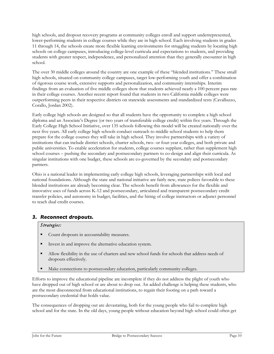high schools, and dropout recovery programs at community colleges enroll and support underrepresented, lower-performing students in college courses while they are in high school. Each involving students in grades 11 through 14, the schools create more flexible learning environments for struggling students by locating high schools on college campuses, introducing college-level curricula and expectations to students, and providing students with greater respect, independence, and personalized attention than they generally encounter in high school.

The over 30 middle colleges around the country are one example of these "blended institutions." These small high schools, situated on community college campuses, target low-performing youth and offer a combination of rigorous course work, extensive supports and personalization, and community internships. Interim findings from an evaluation of five middle colleges show that students achieved nearly a 100 percent pass rate in their college courses. Another recent report found that students in two California middle colleges were outperforming peers in their respective districts on statewide assessments and standardized tests (Cavalluzzo, Corallo, Jordan 2002).

Early college high schools are designed so that all students have the opportunity to complete a high school diploma and an Associate's Degree (or two years of transferable college credit) within five years. Through the Early College High School Initiative, over 135 schools following this model will be created nationally over the next five years. All early college high schools conduct outreach to middle school students to help them prepare for the college courses they will take in high school. They involve partnerships with a variety of institutions that can include district schools, charter schools, two- or four-year colleges, and both private and public universities. To enable acceleration for students, college courses supplant, rather than supplement high school courses – pushing the secondary and postsecondary partners to co-design and align their curricula. As singular institutions with one budget, these schools are co-governed by the secondary and postsecondary partners.

Ohio is a national leader in implementing early college high schools, leveraging partnerships with local and national foundations. Although the state and national initiative are fairly new, state polices favorable to these blended institutions are already becoming clear. The schools benefit from allowances for the flexible and innovative uses of funds across K-12 and postsecondary, articulated and transparent postsecondary credit transfer policies, and autonomy in budget, facilities, and the hiring of college instructors or adjunct personnel to teach dual credit courses.

#### *3. Reconnect dropouts.*

#### *Strategies:*

- Count dropouts in accountability measures.
- Invest in and improve the alternative education system.
- Allow flexibility in the use of charters and new school funds for schools that address needs of dropouts effectively.
- Make connections to postsecondary education, particularly community colleges.

Efforts to improve the educational pipeline are incomplete if they do not address the plight of youth who have dropped out of high school or are about to drop out. An added challenge is helping these students, who are the most disconnected from educational institutions, to regain their footing on a path toward a postsecondary credential that holds value.

The consequences of dropping out are devastating, both for the young people who fail to complete high school and for the state. In the old days, young people without education beyond high school could often get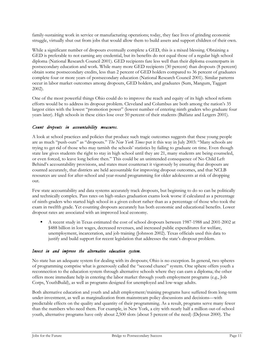family-sustaining work in service or manufacturing operations; today, they face lives of grinding economic struggle, virtually shut out from jobs that would allow them to build assets and support children of their own.

While a significant number of dropouts eventually complete a GED, this is a mixed blessing. Obtaining a GED is preferable to not earning any credential, but its benefits do not equal those of a regular high school diploma (National Research Council 2001). GED recipients fare less well than their diploma counterparts in postsecondary education and work. While many more GED recipients (30 percent) than dropouts (8 percent) obtain some postsecondary credits, less than 2 percent of GED holders compared to 36 percent of graduates complete four or more years of postsecondary education (National Research Council 2001). Similar patterns occur in labor market outcomes among dropouts, GED holders, and graduates (Sum, Mangum, Taggart 2002).

One of the most powerful things Ohio could do to improve the reach and equity of its high school reform efforts would be to address its dropout problem. Cleveland and Columbus are both among the nation's 35 largest cities with the lowest "promotion power" (lowest number of entering ninth graders who graduate four years later). High schools in these cities lose over 50 percent of their students (Balfanz and Letgers 2001).

#### *Count dropouts in accountability measures.*

A look at school practices and policies that produce such tragic outcomes suggests that these young people are as much "push-outs" as "dropouts." *The New York Times* put it this way in July 2003: "Many schools are trying to get rid of those who may tarnish the schools' statistics by failing to graduate on time. Even though state law gives students the right to stay in high school until they are 21, many students are being counseled, or even forced, to leave long before then." This could be an unintended consequence of No Child Left Behind's accountability provisions, and states must counteract it vigorously by ensuring that dropouts are counted accurately, that districts are held accountable for improving dropout outcomes, and that NCLB resources are used for after-school and year-round programming for older adolescents at risk of dropping out.

Few state accountability and data systems accurately track dropouts, but beginning to do so can be politically and technically complex. Pass rates on high-stakes graduation exams look worse if calculated as a percentage of ninth-graders who started high school in a given cohort rather than as a percentage of those who took the exam in twelfth grade. Yet counting dropouts accurately has both economic and educational benefits. Lower dropout rates are associated with an improved local economy.

 A recent study in Texas estimated the cost of school dropouts between 1987-1988 and 2001-2002 at \$488 billion in lost wages, decreased revenues, and increased public expenditures for welfare, unemployment, incarceration, and job training (Johnson 2002). Texas officials used this data to justify and build support for recent legislation that addresses the state's dropout problem.

#### *Invest in and improve the alternative education system.*

No state has an adequate system for dealing with its dropouts; Ohio is no exception. In general, two spheres of programming comprise what is generously called the "second chance" system. One sphere offers youth a reconnection to the education system through alternative schools where they can earn a diploma; the other offers more immediate help in entering the labor market through youth employment programs (e.g., Job Corps, YouthBuild), as well as programs designed for unemployed and low-wage adults.

Both alternative education and youth and adult employment/training programs have suffered from long-term under-investment, as well as marginalization from mainstream policy discussions and decisions—with predictable effects on the quality and quantity of their programming. As a result, programs serve many fewer than the numbers who need them. For example, in New York, a city with nearly half a million out-of-school youth, alternative programs have only about 2,500 slots (about 5 percent of the need) (DeJesus 2000). The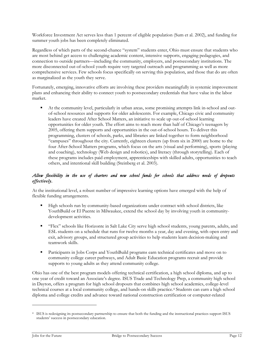Workforce Investment Act serves less than 1 percent of eligible population (Sum et al. 2002), and funding for summer youth jobs has been completely eliminated.

Regardless of which parts of the second-chance "system" students enter, Ohio must ensure that students who are most behind get access to challenging academic content, intensive supports, engaging pedagogies, and connection to outside partners—including the community, employers, and postsecondary institutions. The more disconnected out-of-school youth require very targeted outreach and programming as well as more comprehensive services. Few schools focus specifically on serving this population, and those that do are often as marginalized as the youth they serve.

Fortunately, emerging, innovative efforts are involving these providers meaningfully in systemic improvement plans and enhancing their ability to connect youth to postsecondary credentials that have value in the labor market.

 At the community level, particularly in urban areas, some promising attempts link in-school and outof-school resources and supports for older adolescents. For example, Chicago civic and community leaders have created After School Matters, an initiative to scale up out-of-school learning opportunities for older youth. The effort aims to reach more than half of Chicago's teenagers by 2005, offering them supports and opportunities in the out-of-school hours. To deliver this programming, clusters of schools, parks, and libraries are linked together to form neighborhood "campuses" throughout the city. Currently, eighteen clusters (up from six in 2000) are home to the four After-School Matters programs, which focus on the arts (visual and performing), sports (playing and coaching), technology (Web design and robotics), and literacy (through storytelling). Each of these programs includes paid employment, apprenticeships with skilled adults, opportunities to teach others, and intentional skill building (Steinberg et al. 2003).

#### *Allow flexibility in the use of charters and new school funds for schools that address needs of dropouts effectively.*

At the institutional level, a robust number of impressive learning options have emerged with the help of flexible funding arrangements.

- High schools run by community-based organizations under contract with school districts, like YouthBuild or El Puente in Milwaukee, extend the school day by involving youth in communitydevelopment activities.
- "Flex" schools like Horizonte in Salt Lake City serve high school students, young parents, adults, and ESL students on a schedule that runs for twelve months a year, day and evening, with open entry and exit, advisory groups, and structured group activities to help students learn decision-making and teamwork skills.
- Participants in Jobs Corps and YouthBuild programs earn technical certificates and move on to community college career pathways, and Adult Basic Education programs recruit and provide supports to young adults as they attend community college.

Ohio has one of the best program models offering technical certification, a high school diploma, and up to one year of credit toward an Associate's degree. ISUS Trade and Technology Prep, a community high school in Dayton, offers a program for high school dropouts that combines high school academics, college-level technical courses at a local community college, and hands-on skills practice.4 Students can earn a high school diploma and college credits and advance toward national construction certification or computer-related

 $\overline{a}$ 

<sup>4</sup> ISUS is redesigning its postsecondary partnership to ensure that both the funding and the instructional practices support ISUS students' success in postsecondary education.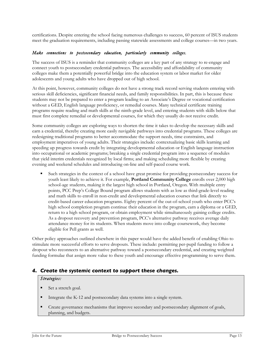certifications. Despite entering the school facing numerous challenges to success, 60 percent of ISUS students meet the graduation requirements, including passing statewide assessments and college courses—in two years.

#### *Make connections to postsecondary education, particularly community colleges.*

The success of ISUS is a reminder that community colleges are a key part of any strategy to re-engage and connect youth to postsecondary credential pathways. The accessibility and affordability of community colleges make them a potentially powerful bridge into the education system or labor market for older adolescents and young adults who have dropped out of high school.

At this point, however, community colleges do not have a strong track record serving students entering with serious skill deficiencies, significant financial needs, and family responsibilities. In part, this is because these students may not be prepared to enter a program leading to an Associate's Degree or vocational certification without a GED, English language proficiency, or remedial courses. Many technical certificate training programs require reading and math skills at the ninth-grade level, and entering students with skills below that must first complete remedial or developmental courses, for which they usually do not receive credit.

Some community colleges are exploring ways to shorten the time it takes to develop the necessary skills and earn a credential, thereby creating more easily navigable pathways into credential programs. These colleges are redesigning traditional programs to better accommodate the support needs, time constraints, and employment imperatives of young adults. Their strategies include: contextualizing basic skills learning and speeding up progress towards credit by integrating developmental education or English language instruction into occupational or academic programs; breaking a single credential program into a sequence of modules that yield interim credentials recognized by local firms; and making scheduling more flexible by creating evening and weekend schedules and introducing on-line and self-paced course work.

 Such strategies in the context of a school have great promise for providing postsecondary success for youth least likely to achieve it. For example, **Portland Community College** enrolls over 2,000 high school-age students, making it the largest high school in Portland, Oregon. With multiple entry points, PCC Prep's College Bound program allows students with as low as third-grade-level reading and math skills to enroll in non-credit and developmental education courses that link directly to credit-based career education programs. Eighty percent of the out-of-school youth who enter PCC's high school completion program continue their education in the program, earn a diploma or a GED, return to a high school program, or obtain employment while simultaneously gaining college credits. As a dropout recovery and prevention program, PCC's alternative pathway receives average daily attendance money for its students. When students move into college coursework, they become eligible for Pell grants as well.

Other policy approaches outlined elsewhere in this paper would have the added benefit of enabling Ohio to stimulate more successful efforts to serve dropouts. These include: permitting per-pupil funding to follow a dropout who reconnects to an alternative pathway toward a postsecondary credential, and creating weighted funding formulae that assign more value to these youth and encourage effective programming to serve them.

#### *4. Create the systemic context to support these changes.*

#### *Strategies:*

- Set a stretch goal.
- Integrate the K-12 and postsecondary data systems into a single system.
- **•** Create governance mechanisms that improve secondary and postsecondary alignment of goals, planning, and budgets.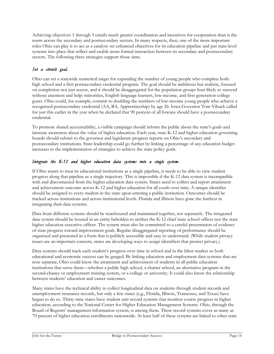Achieving objectives 1 through 3 entails much greater coordination and incentives for cooperation than is the norm across the secondary and postsecondary sectors. In many respects, then, one of the more important roles Ohio can play is to act as a catalyst: set enhanced objectives for its education pipeline and put state-level systems into place that reflect and enable more formal interaction between its secondary and postsecondary sectors. The following three strategies support those aims.

#### *Set a stretch goal.*

Ohio can set a statewide numerical target for expanding the number of young people who complete both high school and a first postsecondary credential program. The goal should be ambitious but realistic, focused on completion not just access, and it should be disaggregated for the population groups least likely to succeed without attention and help: minorities, English language learners, low-income, and first-generation college goers. Ohio could, for example, commit to doubling the numbers of low-income young people who achieve a recognized postsecondary credential (AA, BA, Apprenticeship) by age 26. Iowa Governor Tom Vilsack called for just this earlier in the year when he declared that 90 percent of all Iowans should have a postsecondary credential.

To promote shared accountability, a visible campaign should inform the public about the state's goals and increase awareness about the value of higher education. Each year, state K-12 and higher education governing boards should submit to the governor and legislature progress reports on Ohio's secondary and postsecondary institutions. State leadership could go further by linking a percentage of any education budget increases to the implementation of strategies to achieve the state policy goals.

#### *Integrate the K-12 and higher education data systems into a single system.*

If Ohio wants to treat its educational institutions as a single pipeline, it needs to be able to view student progress along that pipeline as a single trajectory. This is impossible if the K-12 data system is incompatible with and disconnected from the higher education data system. States need to collect and report attainment and achievement outcome across K-12 and higher education for all youth over time. A unique identifier should be assigned to every student in the state upon entering a public institution. Outcomes should be tracked across institutions and across institutional levels. Florida and Illinois have gone the furthest in integrating their data systems.

Data from different systems should be warehoused and maintained together, not separately. The integrated data system should be housed in an entity beholden to neither the K-12 chief state school officer nor the state higher education executive officer. The system must also be committed to a careful presentation of evidence of state progress toward improvement goals. Regular disaggregated reporting of performance should be organized and presented in a form that is publicly accessible and easy to understand. (While student privacy issues are an important concern, states are developing ways to assign identifiers that protect privacy.)

Data systems should track each student's progress over time in school and in the labor market so both educational and economic success can be gauged. By linking education and employment data systems that are now separate, Ohio could know the attainment and achievement of students in all public education institutions that serve them—whether a public high school, a charter school, an alternative program in the second-chance or employment training system, or a college or university. It could also know the relationship between students' education and career outcomes.

Many states have the technical ability to collect longitudinal data on students through student records and unemployment insurance records, but only a few states (e.g., Florida, Illinois, Tennessee, and Texas) have begun to do so. Thirty-nine states have student unit record systems that monitor course progress in higher education, according to the National Center for Higher Education Management Systems. Ohio, through the Board of Regents' management information system, is among them. These record systems cover as many as 70 percent of higher education enrollments nationwide. At least half of these systems are linked to other state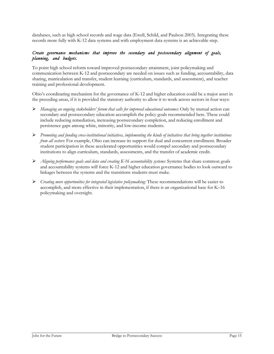databases, such as high school records and wage data (Ewell, Schild, and Paulson 2003). Integrating these records more fully with K-12 data systems and with employment data systems is an achievable step.

#### *Create governance mechanisms that improve the secondary and postsecondary alignment of goals, planning, and budgets.*

To point high school reform toward improved postsecondary attainment, joint policymaking and communication between K-12 and postsecondary are needed on issues such as funding, accountability, data sharing, matriculation and transfer, student learning (curriculum, standards, and assessment), and teacher training and professional development.

Ohio's coordinating mechanism for the governance of K-12 and higher education could be a major asset in the preceding areas, if it is provided the statutory authority to allow it to work across sectors in four ways:

- *Managing an ongoing stakeholders' forum that calls for improved educational outcomes:* Only by mutual action can secondary and postsecondary education accomplish the policy goals recommended here. These could include reducing remediation, increasing postsecondary completion, and reducing enrollment and persistence gaps among white, minority, and low-income students.
- *Promoting and funding cross-institutional initiatives, implementing the kinds of initiatives that bring together institutions from all sectors*: For example, Ohio can increase its support for dual and concurrent enrollment. Broader student participation in these accelerated opportunities would compel secondary and postsecondary institutions to align curriculum, standards, assessments, and the transfer of academic credit.
- *Aligning performance goals and data and creating K-16 accountability systems:* Systems that share common goals and accountability systems will force K-12 and higher education governance bodies to look outward to linkages between the systems and the transitions students must make.
- *Creating more opportunities for integrated legislative policymaking:* These recommendations will be easier to accomplish, and more effective in their implementation, if there is an organizational base for K–16 policymaking and oversight.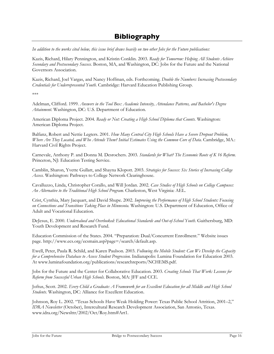## **Bibliography**

*In addition to the works cited below, this issue brief draws heavily on two other Jobs for the Future publications:*

Kazis, Richard, Hilary Pennington, and Kristin Conklin. 2003. *Ready for Tomorrow: Helping All Students Achieve Secondary and Postsecondary Success.* Boston, MA, and Washington, DC: Jobs for the Future and the National Governors Association.

Kazis, Richard, Joel Vargas, and Nancy Hoffman, eds. Forthcoming. *Double the Numbers: Increasing Postsecondary Credentials for Underrepresented Youth.* Cambridge: Harvard Education Publishing Group.

\*\*\*

Adelman, Clifford. 1999. *Answers in the Tool Box: Academic Intensity, Attendance Patterns, and Bachelor's Degree Attainment.* Washington, DC: U.S. Department of Education.

American Diploma Project. 2004. *Ready or Not: Creating a High School Diploma that Counts.* Washington: American Diploma Project.

Balfanz, Robert and Nettie Legters. 2001. *How Many Central City High Schools Have a Severe Dropout Problem, Where Are They Located, and Who Attends Them? Initial Estimates Using the Common Core of Data.* Cambridge, MA.: Harvard Civil Rights Project.

Carnevale, Anthony P. and Donna M. Desrochers. 2003. *Standards for What? The Economic Roots of K 16 Reform.* Princeton, NJ: Education Testing Service.

Camblin, Sharon, Yvette Gullatt, and Shayna Klopott. 2003. *Strategies for Success: Six Stories of Increasing College Access.* Washington: Pathways to College Network Clearinghouse.

Cavalluzzo, Linda, Christopher Corallo, and Will Jordan. 2002. *Case Studies of High Schools on College Campuses: An Alternative to the Traditional High School Program.* Charleston, West Virginia: AEL.

Crist, Cynthia, Mary Jacquart, and David Shupe. 2002. *Improving the Performance of High School Students: Focusing on Connections and Transitions Taking Place in Minnesota.* Washington: U.S. Department of Education, Office of Adult and Vocational Education.

DeJesus, E. 2000. *Undervalued and Overlooked: Educational Standards and Out-of-School Youth.* Gaithersburg, MD: Youth Development and Research Fund.

Education Commission of the States. 2004. "Preparation: Dual/Concurrent Enrollment." Website issues page. http://www.ecs.org/ecsmain.asp?page=/search/default.asp.

Ewell, Peter, Paula R. Schild, and Karen Paulson. 2003. *Following the Mobile Student: Can We Develop the Capacity for a Comprehensive Database to Assess Student Progression.* Indianapolis: Lumina Foundation for Education 2003. At www.luminafoundation.org/publications/researchreports/NCHEMS.pdf.

Jobs for the Future and the Center for Collaborative Education. 2003. *Creating Schools That Work: Lessons for Reform from Successful Urban High Schools.* Boston, MA: JFF and CCE.

Joftus, Scott. 2002. *Every Child a Graduate: A Framework for an Excellent Education for all Middle and High School Students.* Washington, DC: Alliance for Excellent Education.

Johnson, Roy L. 2002. "Texas Schools Have Weak Holding Power: Texas Public School Attrition, 2001–2," *IDRA Newsletter* (October), Intercultural Research Development Association, San Antonio, Texas. www.idra.org/Newslttr/2002/Oct/Roy.htm#Art1.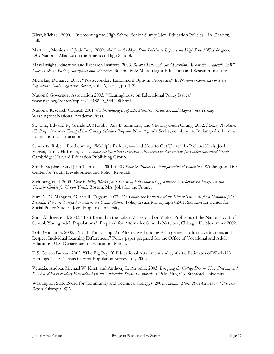Kirst, Michael. 2000. "Overcoming the High School Senior Slump: New Education Policies." In *Crosstalk*, Fall.

Martinez, Monica and Judy Bray. 2002. *All Over the Map: State Policies to Improve the High School.* Washington, DC: National Alliance on the American High School.

Mass Insight Education and Research Institute. 2003. *Beyond Tests and Good Intentions: What the Academic "ER" Looks Like in Boston, Springfield and Worcester.* Boston, MA: Mass Insight Education and Research Institute.

Michelau, Demarée. 2001. "Postsecondary Enrollment Options Programs." In *National Conference of State Legislatures State Legislative Report*, vol. 26, No. 4, pp. 1-29.

National Governors Association 2003, "Clearinghouse on Educational Policy Issues." www.nga.org/center/topics/1,1188,D\_5444,00.html.

National Research Council. 2001. *Understanding Dropouts: Statistics, Strategies, and High-Stakes Testing.* Washington: National Academy Press.

St. John, Edward P., Glenda D. Musoba, Ada B. Simmons, and Choong-Geun Chung. 2002. *Meeting the Access Challenge: Indiana's Twenty-First Century Scholars Program.* New Agenda Series, vol. 4, no. 4. Indianapolis: Lumina Foundation for Education.

Schwartz, Robert. Forthcoming. "Multiple Pathways—And How to Get There." In Richard Kazis, Joel Vargas, Nancy Hoffman, eds. *Double the Numbers: Increasing Postsecondary Credentials for Underrepresented Youth.* Cambridge: Harvard Education Publishing Group.

Smith, Stephanie and Jean Thomases. 2001. *CBO Schools: Profiles in Transformational Education.* Washington, DC: Center for Youth Development and Policy Research.

Steinberg, et al. 2003. *Four Building Blocks for a System of Educational Opportunity: Developing Pathways To and Through College for Urban Youth.* Boston, MA: Jobs for the Future.

Sum A., G. Mangum, G. and R. Taggart. 2002. *The Young, the Restless and the Jobless: The Case for a National Jobs Stimulus Program Targeted on America's Young Adults.* Policy Issues Monograph 02-01, Sar Levitan Center for Social Policy Studies, John Hopkins University.

Sum, Andrew, et al. 2002. "Left Behind in the Labor Market: Labor Market Problems of the Nation's Out-of-School, Young Adult Populations." Prepared for Alternative Schools Network, Chicago, IL. November 2002.

Toft, Graham S. 2002. "Youth Tuitionship: An Alternative Funding Arrangement to Improve Markets and Respect Individual Learning Differences." Policy paper prepared for the Office of Vocational and Adult Education, U.S. Department of Education. March.

U.S. Census Bureau. 2002. "The Big Payoff: Educational Attainment and synthetic Estimates of Work-Life Earnings." U.S. Census Current Population Survey. July 2002.

Venezia, Andrea, Michael W. Kirst, and Anthony L. Antonio. 2003. *Betraying the College Dream: How Disconnected K–12 and Postsecondary Education Systems Undermine Student Aspirations.* Palo Alto, CA: Stanford University.

Washington State Board for Community and Technical Colleges. 2002. *Running Start: 2001-02 Annual Progress Report.* Olympia, WA.